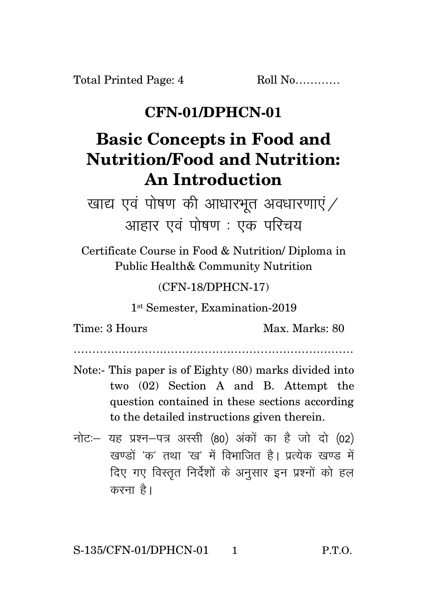## **CFN-01/DPHCN-01**

## **Basic Concepts in Food and Nutrition/Food and Nutrition: An Introduction**

खाद्य एवं पोषण की आधारभूत अवधारणाएं $\diagup$ आहार एवं पोषण : एक परिचय

Certificate Course in Food & Nutrition/ Diploma in Public Health& Community Nutrition

(CFN-18/DPHCN-17)

1 st Semester, Examination-2019

Time: 3 Hours Max. Marks: 80

…………………………………………………………………

- Note:- This paper is of Eighty (80) marks divided into two (02) Section A and B. Attempt the question contained in these sections according to the detailed instructions given therein.
- नोट: यह प्रश्न-पत्र अस्सी (80) अंकों का है जो दो (02)  $\vec{y}$ रवण्डों 'क' तथा 'रव' में विभाजित है। पत्येक रवण्ड में दिए गए विस्तृत निर्देशों के अनुसार इन प्रश्नों को हल करना है।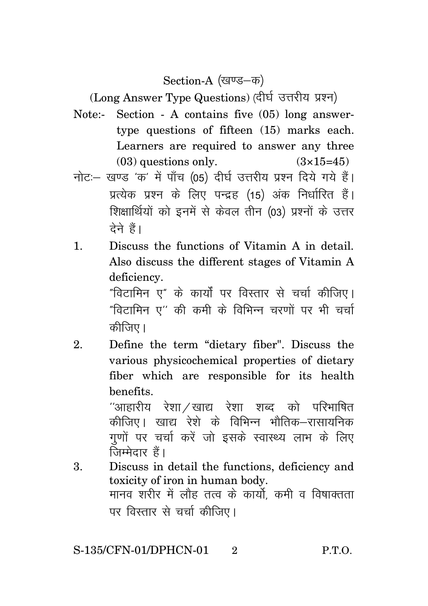Section-A (खण्ड–क)

(Long Answer Type Questions) (दीर्घ उत्तरीय प्रश्न)

- Note:- Section A contains five (05) long answertype questions of fifteen (15) marks each. Learners are required to answer any three  $(03)$  questions only.  $(3\times15=45)$
- नोट: खण्ड 'क' में पाँच (05) दीर्घ उत्तरीय प्रश्न दिये गये हैं। प्रत्येक प्रश्न के लिए पन्द्रह (15) अंक निर्धारित हैं। शिक्षार्थियों को इनमें से केवल तीन (03) प्रश्नों के उत्तर टेने हैं।
- 1. Discuss the functions of Vitamin A in detail. Also discuss the different stages of Vitamin A deficiency.

"विटामिन ए" के कार्यों पर विस्तार से चर्चा कीजिए।  $^{\prime\prime}$ विटामिन ए $^{\prime\prime}$  की कमी के विभिन्न चरणों पर भी चर्चा कीजिए।

2. Define the term "dietary fiber". Discuss the various physicochemical properties of dietary fiber which are responsible for its health benefits.

> $^{\prime\prime}$ आहारीय रेशा $\times$ खाद्य रेशा शब्द को परिभाषित कीजिए। खाद्य रेशे के विभिन्न भौतिक–रासायनिक गुणों पर चर्चा करें जो इसके स्वास्थ्य लाभ के लिए  $\overline{G}$ म्मेदार हैं।

3. Discuss in detail the functions, deficiency and toxicity of iron in human body. <u>मानव शरीर में लौह तत्व के कार्यो कमी व विषाक्तता</u> पर विस्तार से चर्चा कीजिए।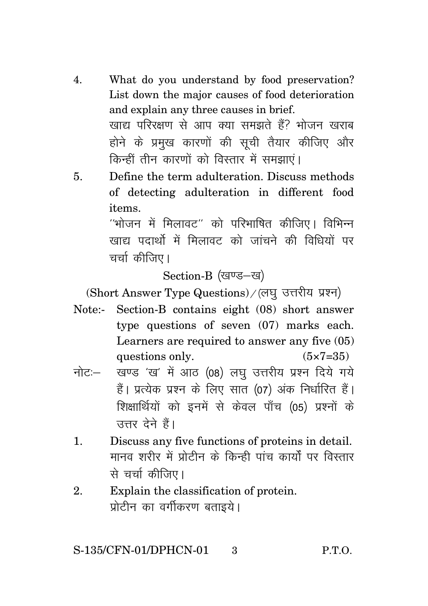- 4. What do you understand by food preservation? List down the major causes of food deterioration and explain any three causes in brief. खाद्य परिरक्षण से आप क्या समझते हैं? भोजन खराब होने के प्रमुख कारणों की सूची तैयार कीजिए और किन्हीं तीन कारणों को विस्तार में समझाएं।
- 5. Define the term adulteration. Discuss methods of detecting adulteration in different food items.

 $^{\prime\prime}$ भोजन में मिलावट $^{\prime\prime}$  को परिभाषित कीजिए। विभिन्न .<br>रवाहा पदार्थो में मिलावट को जांचने की विधियों पर चर्चाकीतिए।

Section-B (खण्ड-ख)

(Short Answer Type Questions) / (लघु उत्तरीय प्रश्न)

- Note:- Section-B contains eight (08) short answer type questions of seven (07) marks each. Learners are required to answer any five (05) questions only.  $(5 \times 7 = 35)$
- नोट: खण्ड 'ख' में आठ (08) लघ उत्तरीय प्रश्न दिये गये हैं। प्रत्येक प्रश्न के लिए सात (07) अंक निर्धारित हैं। शिक्षार्थियों को इनमें से केवल पाँच (05) प्रश्नों के उत्तर देने हैं।
- 1. Discuss any five functions of proteins in detail. <u>मानव शरीर में प्रोतीन के किन्ही पांच कार्यों पर विस्तार</u> से चर्चा कीजिए।
- 2. Explain the classification of protein. प्रोटीन का वर्गीकरण बताइये।